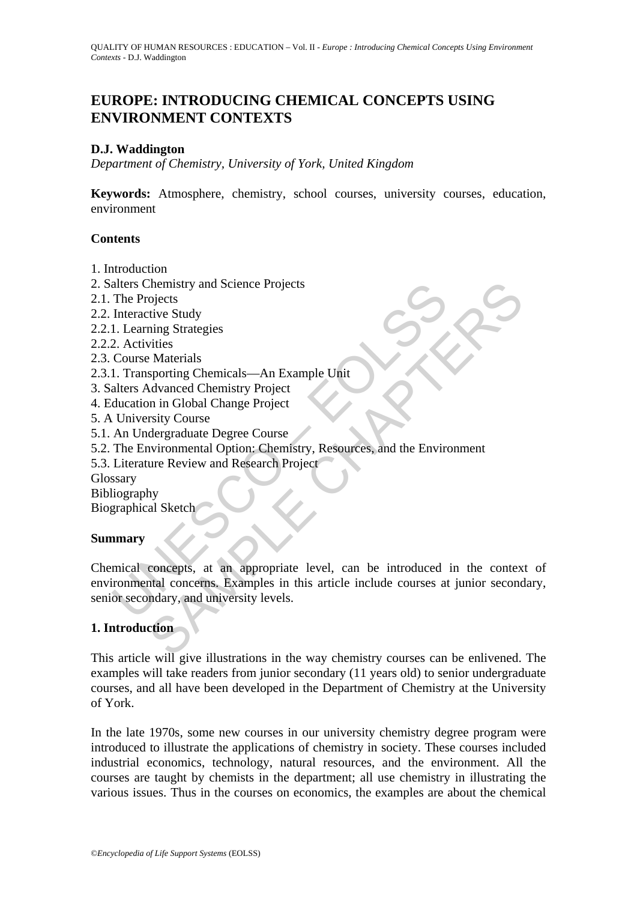# **EUROPE: INTRODUCING CHEMICAL CONCEPTS USING ENVIRONMENT CONTEXTS**

## **D.J. Waddington**

*Department of Chemistry, University of York, United Kingdom* 

**Keywords:** Atmosphere, chemistry, school courses, university courses, education, environment

#### **Contents**

- 1. Introduction
- 2. Salters Chemistry and Science Projects
- 2.1. The Projects
- 2.2. Interactive Study
- 2.2.1. Learning Strategies
- 2.2.2. Activities
- 2.3. Course Materials
- 2.3.1. Transporting Chemicals—An Example Unit
- 3. Salters Advanced Chemistry Project
- 4. Education in Global Change Project
- 5. A University Course
- 5.1. An Undergraduate Degree Course
- 5.2. The Environmental Option: Chemistry, Resources, and the Environment
- 5.3. Literature Review and Research Project

Glossary

Bibliography

Biographical Sketch

## **Summary**

alters Chemistry and Science Projects<br>
The Projects<br>
The Projects<br>
Interactive Study<br>
1. Learning Strategies<br>
2. Activities<br>
Course Materials<br>
2. Transporting Chemicals—An Example Unit<br>
alters Advanced Chemistry Project<br>
U Chemistry and Science Projects<br>
Check Study<br>
rive Study<br>
rive Study<br>
rive Study<br>
syntring Chemicals—An Example Unit<br>
syntring Chemicals<br>
syntring Chemicals<br>
syntring Chemistry Project<br>
dergraduate Degree Course<br>
dergraduat Chemical concepts, at an appropriate level, can be introduced in the context of environmental concerns. Examples in this article include courses at junior secondary, senior secondary, and university levels.

## **1. Introduction**

This article will give illustrations in the way chemistry courses can be enlivened. The examples will take readers from junior secondary (11 years old) to senior undergraduate courses, and all have been developed in the Department of Chemistry at the University of York.

In the late 1970s, some new courses in our university chemistry degree program were introduced to illustrate the applications of chemistry in society. These courses included industrial economics, technology, natural resources, and the environment. All the courses are taught by chemists in the department; all use chemistry in illustrating the various issues. Thus in the courses on economics, the examples are about the chemical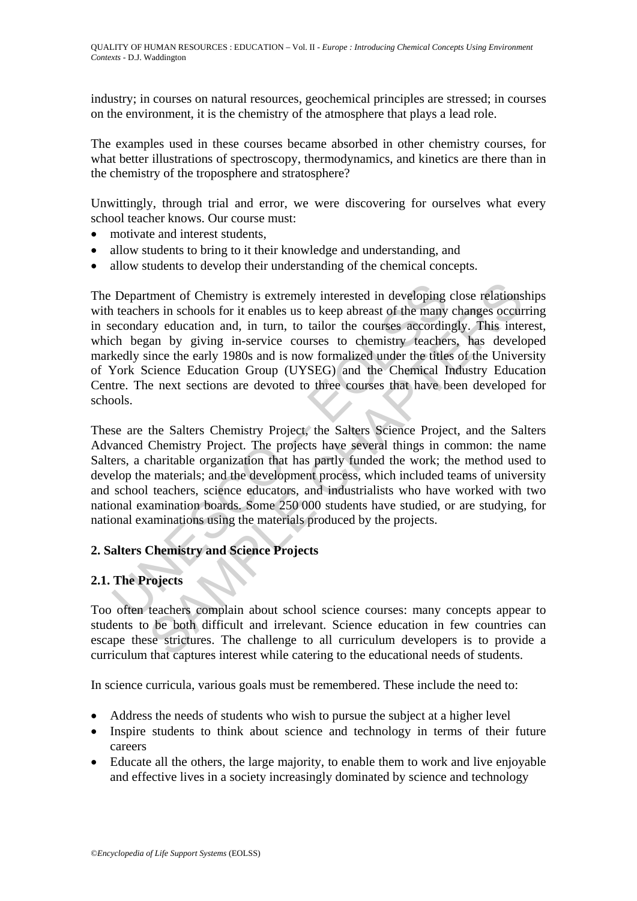industry; in courses on natural resources, geochemical principles are stressed; in courses on the environment, it is the chemistry of the atmosphere that plays a lead role.

The examples used in these courses became absorbed in other chemistry courses, for what better illustrations of spectroscopy, thermodynamics, and kinetics are there than in the chemistry of the troposphere and stratosphere?

Unwittingly, through trial and error, we were discovering for ourselves what every school teacher knows. Our course must:

- motivate and interest students.
- allow students to bring to it their knowledge and understanding, and
- allow students to develop their understanding of the chemical concepts.

Department of Chemistry is extremely interested in developing<br>teachers in schools for it enables us to keep abreast of the many<br>econdary education and, in turn, to tailor the courses accordir<br>ch began by giving in-service tment of Chemistry is extremely interested in developing close relations<br>rs in schools for it enables us to keep abreast of the many changes occur<br>ry education and, in turn, to tailor the courses accordingly. This inte<br>an The Department of Chemistry is extremely interested in developing close relationships with teachers in schools for it enables us to keep abreast of the many changes occurring in secondary education and, in turn, to tailor the courses accordingly. This interest, which began by giving in-service courses to chemistry teachers, has developed markedly since the early 1980s and is now formalized under the titles of the University of York Science Education Group (UYSEG) and the Chemical Industry Education Centre. The next sections are devoted to three courses that have been developed for schools.

These are the Salters Chemistry Project, the Salters Science Project, and the Salters Advanced Chemistry Project. The projects have several things in common: the name Salters, a charitable organization that has partly funded the work; the method used to develop the materials; and the development process, which included teams of university and school teachers, science educators, and industrialists who have worked with two national examination boards. Some 250 000 students have studied, or are studying, for national examinations using the materials produced by the projects.

## **2. Salters Chemistry and Science Projects**

## **2.1. The Projects**

Too often teachers complain about school science courses: many concepts appear to students to be both difficult and irrelevant. Science education in few countries can escape these strictures. The challenge to all curriculum developers is to provide a curriculum that captures interest while catering to the educational needs of students.

In science curricula, various goals must be remembered. These include the need to:

- Address the needs of students who wish to pursue the subject at a higher level
- Inspire students to think about science and technology in terms of their future careers
- Educate all the others, the large majority, to enable them to work and live enjoyable and effective lives in a society increasingly dominated by science and technology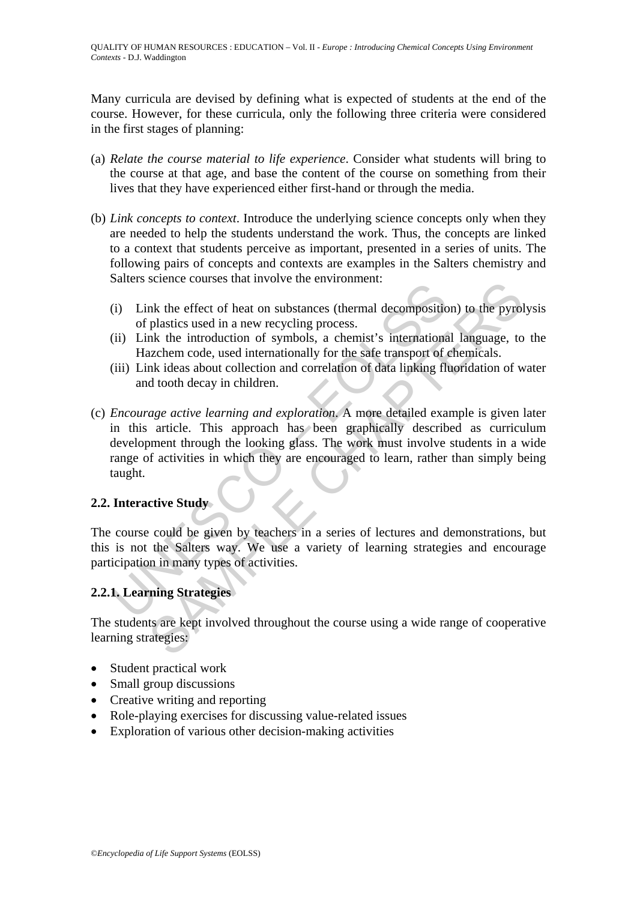Many curricula are devised by defining what is expected of students at the end of the course. However, for these curricula, only the following three criteria were considered in the first stages of planning:

- (a) *Relate the course material to life experience*. Consider what students will bring to the course at that age, and base the content of the course on something from their lives that they have experienced either first-hand or through the media.
- (b) *Link concepts to context*. Introduce the underlying science concepts only when they are needed to help the students understand the work. Thus, the concepts are linked to a context that students perceive as important, presented in a series of units. The following pairs of concepts and contexts are examples in the Salters chemistry and Salters science courses that involve the environment:
	- (i) Link the effect of heat on substances (thermal decomposition) to the pyrolysis of plastics used in a new recycling process.
	- (ii) Link the introduction of symbols, a chemist's international language, to the Hazchem code, used internationally for the safe transport of chemicals.
	- (iii) Link ideas about collection and correlation of data linking fluoridation of water and tooth decay in children.
- (i) Link the effect of heat on substances (thermal decomposition<br>of plastics used in a new recycling process.<br>(ii) Link the introduction of symbols, a chemist's international<br>Hazchem code, used internationally for the safe solvent counters that involve the environment.<br>
Ink the effect of heat on substances (thermal decomposition) to the pyrol<br>
plastics used in a new recycling process.<br>
Ink the introduction of symbols, a chemist's internation (c) *Encourage active learning and exploration*. A more detailed example is given later in this article. This approach has been graphically described as curriculum development through the looking glass. The work must involve students in a wide range of activities in which they are encouraged to learn, rather than simply being taught.

## **2.2. Interactive Study**

The course could be given by teachers in a series of lectures and demonstrations, but this is not the Salters way. We use a variety of learning strategies and encourage participation in many types of activities.

## **2.2.1. Learning Strategies**

The students are kept involved throughout the course using a wide range of cooperative learning strategies:

- Student practical work
- Small group discussions
- Creative writing and reporting
- Role-playing exercises for discussing value-related issues
- Exploration of various other decision-making activities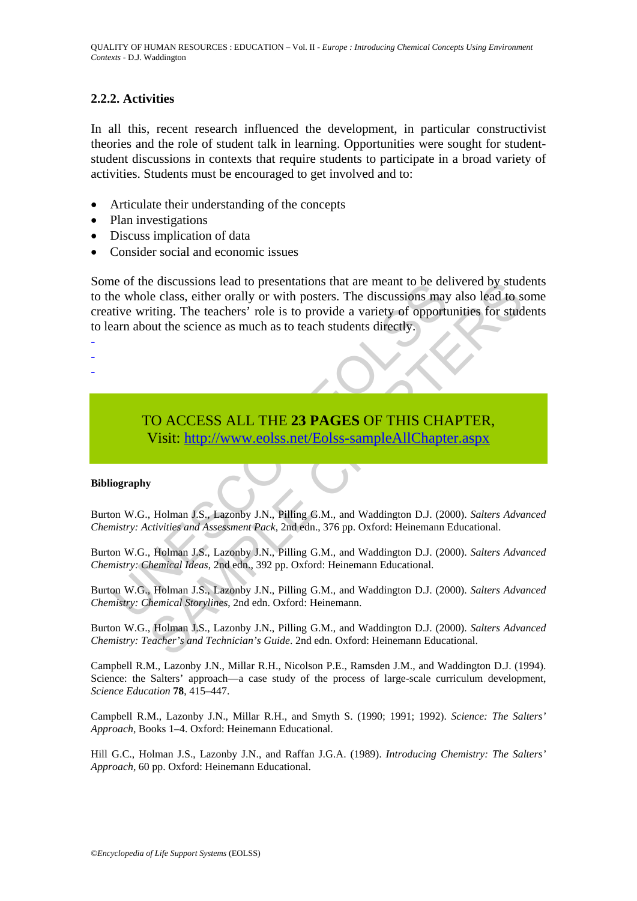#### **2.2.2. Activities**

In all this, recent research influenced the development, in particular constructivist theories and the role of student talk in learning. Opportunities were sought for studentstudent discussions in contexts that require students to participate in a broad variety of activities. Students must be encouraged to get involved and to:

- Articulate their understanding of the concepts
- Plan investigations
- Discuss implication of data
- Consider social and economic issues

extra different and to presentations that are meant to be deen whole class, either orally or with posters. The discussions may trive writing. The teachers' role is to provide a variety of opportion and about the science as e discussions lead to presentations that are meant to be delivered by stude<br>
elcals, either orally or with posters. The discussions may also lead to s<br>
dielcals, either orally or with posters. The discussions may also lead Some of the discussions lead to presentations that are meant to be delivered by students to the whole class, either orally or with posters. The discussions may also lead to some creative writing. The teachers' role is to provide a variety of opportunities for students to learn about the science as much as to teach students directly.

- -
- -
- -

TO ACCESS ALL THE **23 PAGES** OF THIS CHAPTER, Visit: http://www.eolss.net/Eolss-sampleAllChapter.aspx

#### **Bibliography**

Burton W.G., Holman J.S., Lazonby J.N., Pilling G.M., and Waddington D.J. (2000). *Salters Advanced Chemistry: Activities and Assessment Pack*, 2nd edn., 376 pp. Oxford: Heinemann Educational.

Burton W.G., Holman J.S., Lazonby J.N., Pilling G.M., and Waddington D.J. (2000). *Salters Advanced Chemistry: Chemical Ideas*, 2nd edn., 392 pp. Oxford: Heinemann Educational.

Burton W.G., Holman J.S., Lazonby J.N., Pilling G.M., and Waddington D.J. (2000). *Salters Advanced Chemistry: Chemical Storylines*, 2nd edn. Oxford: Heinemann.

Burton W.G., Holman J.S., Lazonby J.N., Pilling G.M., and Waddington D.J. (2000). *Salters Advanced Chemistry: Teacher's and Technician's Guide*. 2nd edn. Oxford: Heinemann Educational.

Campbell R.M., Lazonby J.N., Millar R.H., Nicolson P.E., Ramsden J.M., and Waddington D.J. (1994). Science: the Salters' approach—a case study of the process of large-scale curriculum development, *Science Education* **78**, 415–447.

Campbell R.M., Lazonby J.N., Millar R.H., and Smyth S. (1990; 1991; 1992). *Science: The Salters' Approach*, Books 1–4. Oxford: Heinemann Educational.

Hill G.C., Holman J.S., Lazonby J.N., and Raffan J.G.A. (1989). *Introducing Chemistry: The Salters' Approach*, 60 pp. Oxford: Heinemann Educational.